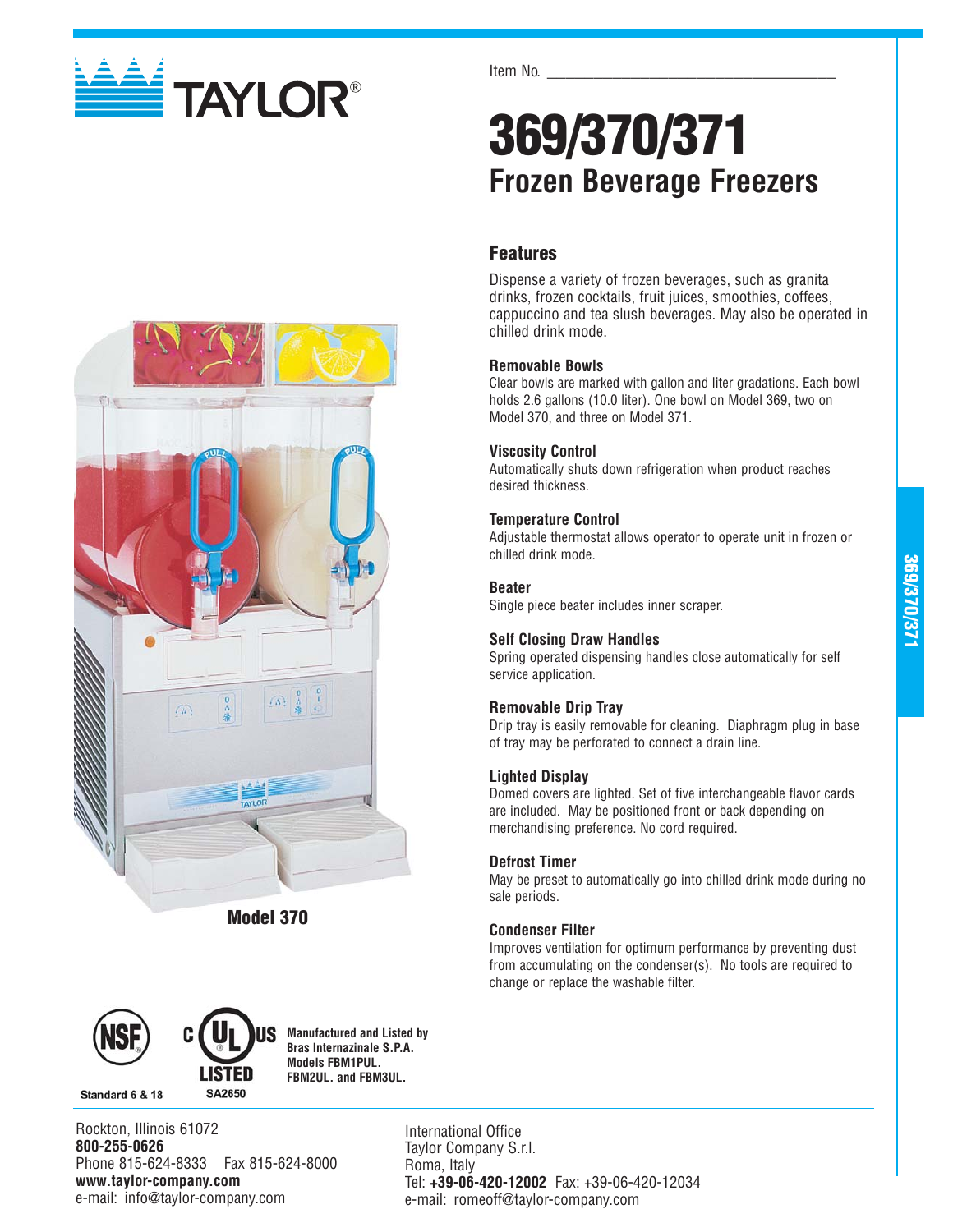

Item No.

# **369/370/371 Frozen Beverage Freezers**

## **Features**

Dispense a variety of frozen beverages, such as granita drinks, frozen cocktails, fruit juices, smoothies, coffees, cappuccino and tea slush beverages. May also be operated in chilled drink mode.

#### **Removable Bowls**

Clear bowls are marked with gallon and liter gradations. Each bowl holds 2.6 gallons (10.0 liter). One bowl on Model 369, two on Model 370, and three on Model 371.

#### **Viscosity Control**

Automatically shuts down refrigeration when product reaches desired thickness.

#### **Temperature Control**

Adjustable thermostat allows operator to operate unit in frozen or chilled drink mode.

#### **Beater**

Single piece beater includes inner scraper.

#### **Self Closing Draw Handles**

Spring operated dispensing handles close automatically for self service application.

### **Removable Drip Tray**

Drip tray is easily removable for cleaning. Diaphragm plug in base of tray may be perforated to connect a drain line.

#### **Lighted Display**

Domed covers are lighted. Set of five interchangeable flavor cards are included. May be positioned front or back depending on merchandising preference. No cord required.

#### **Defrost Timer**

May be preset to automatically go into chilled drink mode during no sale periods.

### **Condenser Filter**

Improves ventilation for optimum performance by preventing dust from accumulating on the condenser(s). No tools are required to change or replace the washable filter.



**Model 370**



Standard 6 & 18



**Manufactured and Listed by Bras Internazinale S.P.A. Models FBM1PUL. FBM2UL. and FBM3UL.**

Rockton, Illinois 61072 **800-255-0626** Phone 815-624-8333 Fax 815-624-8000 **www.taylor-company.com** e-mail: info@taylor-company.com

International Office Taylor Company S.r.l. Roma, Italy Tel: **+39-06-420-12002** Fax: +39-06-420-12034 e-mail: romeoff@taylor-company.com